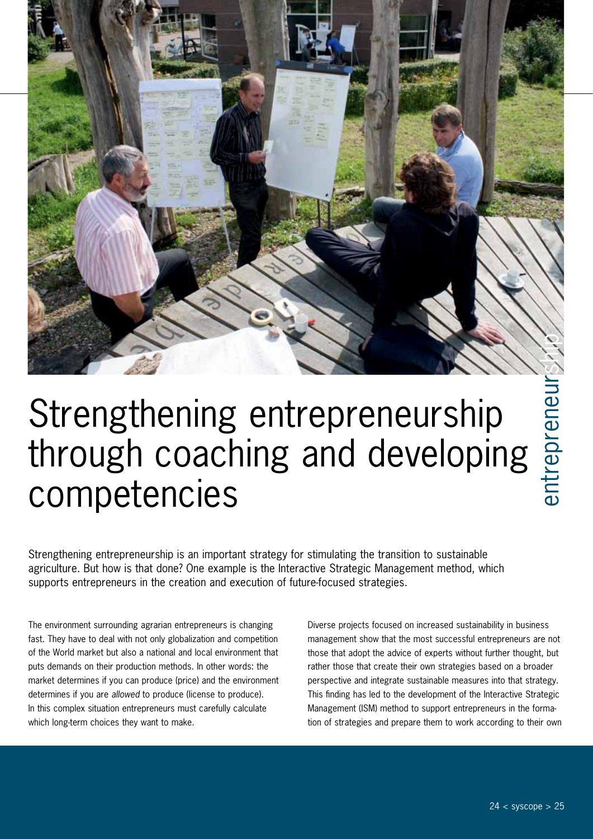

Strengthening entrepreneurship

# through coaching and developing competencies

Strengthening entrepreneurship is an important strategy for stimulating the transition to sustainable agriculture. But how is that done? One example is the Interactive Strategic Management method, which supports entrepreneurs in the creation and execution of future-focused strategies.

The environment surrounding agrarian entrepreneurs is changing fast. They have to deal with not only globalization and competition of the World market but also a national and local environment that puts demands on their production methods. In other words: the market determines if you can produce (price) and the environment determines if you are *allowed* to produce (license to produce). In this complex situation entrepreneurs must carefully calculate which long-term choices they want to make.

Diverse projects focused on increased sustainability in business management show that the most successful entrepreneurs are not those that adopt the advice of experts without further thought, but rather those that create their own strategies based on a broader perspective and integrate sustainable measures into that strategy. This finding has led to the development of the Interactive Strategic Management (ISM) method to support entrepreneurs in the forma-**EDITENEUTSHIP**<br> **STRATE CONTIFICATION**<br>
STRATE STRATE STRATE STRATE STRATE STRATE STRATE STRATE SURFACT AND A DURING THE STRATE STRATE SURFACT AND DURING THE STRATE PROCESS focused on increased sustainability in business<br>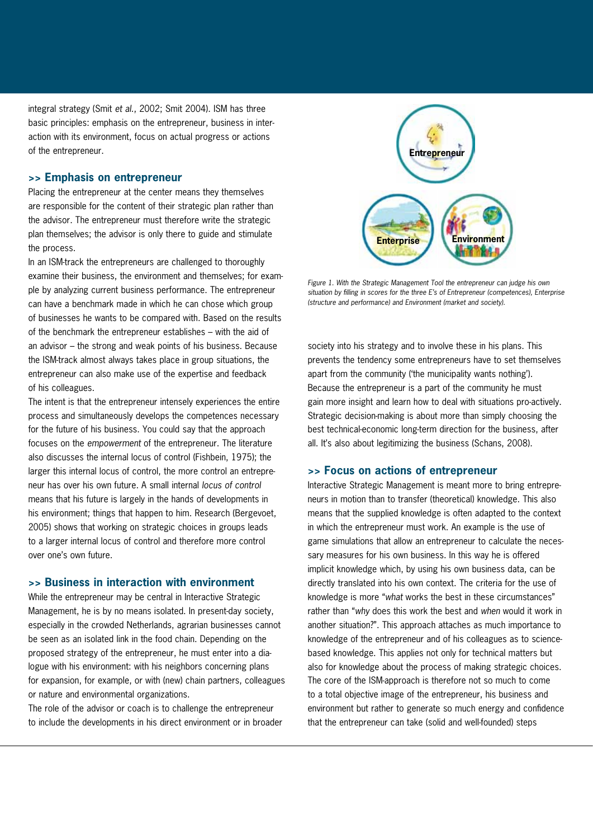integral strategy (Smit *et al*., 2002; Smit 2004). ISM has three basic principles: emphasis on the entrepreneur, business in interaction with its environment, focus on actual progress or actions of the entrepreneur.

#### **>> Emphasis on entrepreneur**

Placing the entrepreneur at the center means they themselves are responsible for the content of their strategic plan rather than the advisor. The entrepreneur must therefore write the strategic plan themselves; the advisor is only there to guide and stimulate the process.

In an ISM-track the entrepreneurs are challenged to thoroughly examine their business, the environment and themselves; for example by analyzing current business performance. The entrepreneur can have a benchmark made in which he can chose which group of businesses he wants to be compared with. Based on the results of the benchmark the entrepreneur establishes – with the aid of an advisor – the strong and weak points of his business. Because the ISM-track almost always takes place in group situations, the entrepreneur can also make use of the expertise and feedback of his colleagues.

The intent is that the entrepreneur intensely experiences the entire process and simultaneously develops the competences necessary for the future of his business. You could say that the approach focuses on the *empowerment* of the entrepreneur. The literature also discusses the internal locus of control (Fishbein, 1975); the larger this internal locus of control, the more control an entrepreneur has over his own future. A small internal *locus of control*  means that his future is largely in the hands of developments in his environment; things that happen to him. Research (Bergevoet, 2005) shows that working on strategic choices in groups leads to a larger internal locus of control and therefore more control over one's own future.

### **>> Business in interaction with environment**

While the entrepreneur may be central in Interactive Strategic Management, he is by no means isolated. In present-day society, especially in the crowded Netherlands, agrarian businesses cannot be seen as an isolated link in the food chain. Depending on the proposed strategy of the entrepreneur, he must enter into a dialogue with his environment: with his neighbors concerning plans for expansion, for example, or with (new) chain partners, colleagues or nature and environmental organizations.

The role of the advisor or coach is to challenge the entrepreneur to include the developments in his direct environment or in broader



*Figure 1. With the Strategic Management Tool the entrepreneur can judge his own situation by filling in scores for the three E's of Entrepreneur (competences), Enterprise (structure and performance) and Environment (market and society).*

society into his strategy and to involve these in his plans. This prevents the tendency some entrepreneurs have to set themselves apart from the community ('the municipality wants nothing'). Because the entrepreneur is a part of the community he must gain more insight and learn how to deal with situations pro-actively. Strategic decision-making is about more than simply choosing the best technical-economic long-term direction for the business, after all. It's also about legitimizing the business (Schans, 2008).

#### **>> Focus on actions of entrepreneur**

Interactive Strategic Management is meant more to bring entrepreneurs in motion than to transfer (theoretical) knowledge. This also means that the supplied knowledge is often adapted to the context in which the entrepreneur must work. An example is the use of game simulations that allow an entrepreneur to calculate the necessary measures for his own business. In this way he is offered implicit knowledge which, by using his own business data, can be directly translated into his own context. The criteria for the use of knowledge is more "*what* works the best in these circumstances" rather than "*why* does this work the best and *when* would it work in another situation?". This approach attaches as much importance to knowledge of the entrepreneur and of his colleagues as to sciencebased knowledge. This applies not only for technical matters but also for knowledge about the process of making strategic choices. The core of the ISM-approach is therefore not so much to come to a total objective image of the entrepreneur, his business and environment but rather to generate so much energy and confidence that the entrepreneur can take (solid and well-founded) steps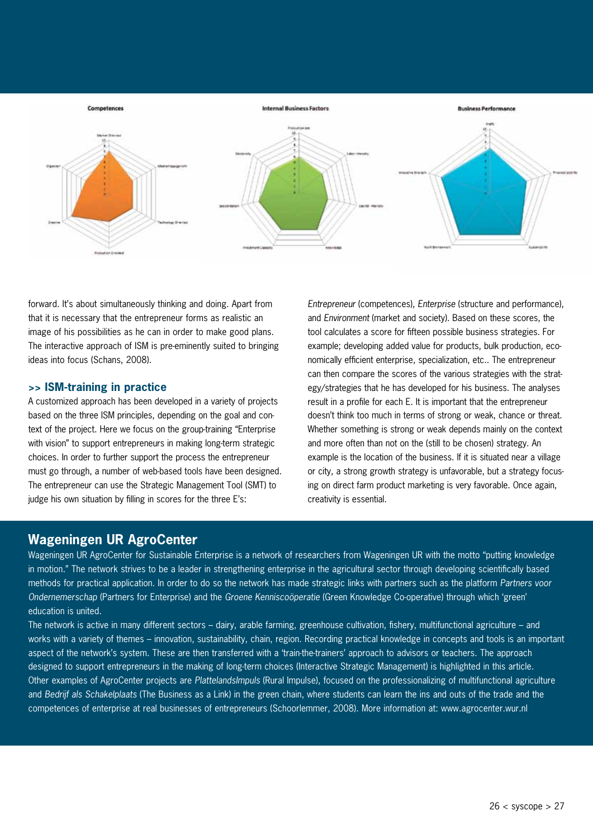

forward. It's about simultaneously thinking and doing. Apart from that it is necessary that the entrepreneur forms as realistic an image of his possibilities as he can in order to make good plans. The interactive approach of ISM is pre-eminently suited to bringing ideas into focus (Schans, 2008).

## **>> ISM-training in practice**

A customized approach has been developed in a variety of projects based on the three ISM principles, depending on the goal and context of the project. Here we focus on the group-training "Enterprise with vision" to support entrepreneurs in making long-term strategic choices. In order to further support the process the entrepreneur must go through, a number of web-based tools have been designed. The entrepreneur can use the Strategic Management Tool (SMT) to judge his own situation by filling in scores for the three E's:

*Entrepreneur* (competences), *Enterprise* (structure and performance), and *Environment* (market and society). Based on these scores, the tool calculates a score for fifteen possible business strategies. For example; developing added value for products, bulk production, economically efficient enterprise, specialization, etc.. The entrepreneur can then compare the scores of the various strategies with the strategy/strategies that he has developed for his business. The analyses result in a profile for each E. It is important that the entrepreneur doesn't think too much in terms of strong or weak, chance or threat. Whether something is strong or weak depends mainly on the context and more often than not on the (still to be chosen) strategy. An example is the location of the business. If it is situated near a village or city, a strong growth strategy is unfavorable, but a strategy focusing on direct farm product marketing is very favorable. Once again, creativity is essential.

# **Wageningen UR AgroCenter**

Wageningen UR AgroCenter for Sustainable Enterprise is a network of researchers from Wageningen UR with the motto "putting knowledge in motion." The network strives to be a leader in strengthening enterprise in the agricultural sector through developing scientifically based methods for practical application. In order to do so the network has made strategic links with partners such as the platform *Partners voor Ondernemerschap* (Partners for Enterprise) and the *Groene Kenniscoöperatie* (Green Knowledge Co-operative) through which 'green' education is united.

The network is active in many different sectors – dairy, arable farming, greenhouse cultivation, fishery, multifunctional agriculture – and works with a variety of themes – innovation, sustainability, chain, region. Recording practical knowledge in concepts and tools is an important aspect of the network's system. These are then transferred with a 'train-the-trainers' approach to advisors or teachers. The approach designed to support entrepreneurs in the making of long-term choices (Interactive Strategic Management) is highlighted in this article. Other examples of AgroCenter projects are *PlattelandsImpuls* (Rural Impulse), focused on the professionalizing of multifunctional agriculture and *Bedrijf als Schakelplaats* (The Business as a Link) in the green chain, where students can learn the ins and outs of the trade and the competences of enterprise at real businesses of entrepreneurs (Schoorlemmer, 2008). More information at: www.agrocenter.wur.nl